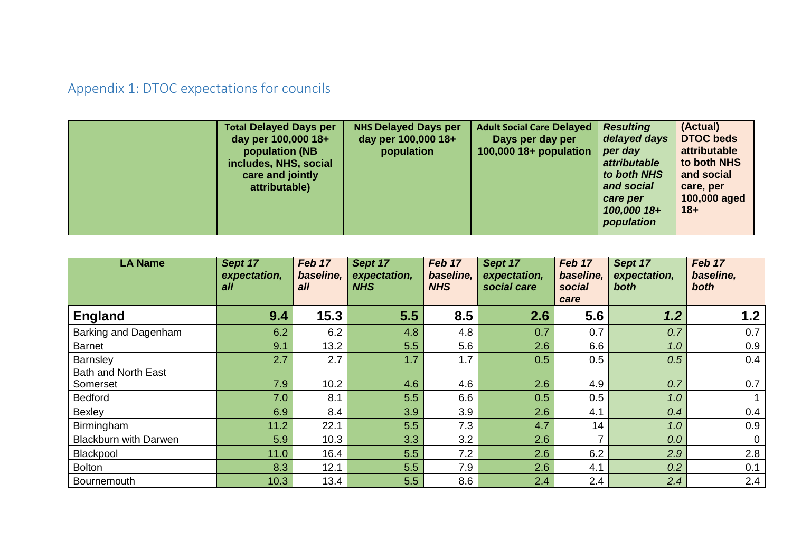## Appendix 1: DTOC expectations for councils

| <b>Total Delayed Days per</b><br>day per 100,000 18+<br>population (NB<br>includes, NHS, social<br>care and jointly<br>attributable) | <b>NHS Delayed Days per</b><br>day per 100,000 18+<br>population | <b>Adult Social Care Delayed</b><br>Days per day per<br>100,000 18+ population | <b>Resulting</b><br>delayed days<br>per day<br><i>attributable</i><br>to both NHS<br>and social<br>care per<br>100,000 18+<br>population | (Actual)<br><b>DTOC beds</b><br>attributable<br>to both NHS<br>and social<br>care, per<br>100,000 aged<br>$18 +$ |
|--------------------------------------------------------------------------------------------------------------------------------------|------------------------------------------------------------------|--------------------------------------------------------------------------------|------------------------------------------------------------------------------------------------------------------------------------------|------------------------------------------------------------------------------------------------------------------|
|--------------------------------------------------------------------------------------------------------------------------------------|------------------------------------------------------------------|--------------------------------------------------------------------------------|------------------------------------------------------------------------------------------------------------------------------------------|------------------------------------------------------------------------------------------------------------------|

| <b>LA Name</b>               | Sept 17<br>expectation,<br>all | Feb 17<br>baseline.<br>all | Sept 17<br>expectation,<br><b>NHS</b> | Feb 17<br>baseline.<br><b>NHS</b> | Sept 17<br>expectation,<br>social care | Feb 17<br>baseline.<br>social<br>care | Sept 17<br>expectation,<br>both | Feb 17<br>baseline,<br>both |
|------------------------------|--------------------------------|----------------------------|---------------------------------------|-----------------------------------|----------------------------------------|---------------------------------------|---------------------------------|-----------------------------|
| <b>England</b>               | 9.4                            | 15.3                       | 5.5                                   | 8.5                               | 2.6                                    | 5.6                                   | 1.2                             | 1.2                         |
| Barking and Dagenham         | 6.2                            | 6.2                        | 4.8                                   | 4.8                               | 0.7                                    | 0.7                                   | 0.7                             | 0.7                         |
| <b>Barnet</b>                | 9.1                            | 13.2                       | 5.5                                   | 5.6                               | 2.6                                    | 6.6                                   | 1.0                             | 0.9                         |
| Barnsley                     | 2.7                            | 2.7                        | 1.7                                   | 1.7                               | 0.5                                    | 0.5                                   | 0.5                             | 0.4                         |
| <b>Bath and North East</b>   |                                |                            |                                       |                                   |                                        |                                       |                                 |                             |
| Somerset                     | 7.9                            | 10.2                       | 4.6                                   | 4.6                               | 2.6                                    | 4.9                                   | 0.7                             | 0.7                         |
| <b>Bedford</b>               | 7.0                            | 8.1                        | 5.5                                   | 6.6                               | 0.5                                    | 0.5                                   | 1.0                             |                             |
| <b>Bexley</b>                | 6.9                            | 8.4                        | 3.9                                   | 3.9                               | 2.6                                    | 4.1                                   | 0.4                             | 0.4                         |
| Birmingham                   | 11.2                           | 22.1                       | 5.5                                   | 7.3                               | 4.7                                    | 14                                    | 1.0                             | 0.9                         |
| <b>Blackburn with Darwen</b> | 5.9                            | 10.3                       | 3.3                                   | 3.2                               | 2.6                                    | ⇁                                     | 0.0                             | $\mathbf 0$                 |
| Blackpool                    | 11.0                           | 16.4                       | 5.5                                   | 7.2                               | 2.6                                    | 6.2                                   | 2.9                             | 2.8                         |
| <b>Bolton</b>                | 8.3                            | 12.1                       | 5.5                                   | 7.9                               | 2.6                                    | 4.1                                   | 0.2                             | 0.1                         |
| Bournemouth                  | 10.3                           | 13.4                       | 5.5                                   | 8.6                               | 2.4                                    | 2.4                                   | 2.4                             | 2.4                         |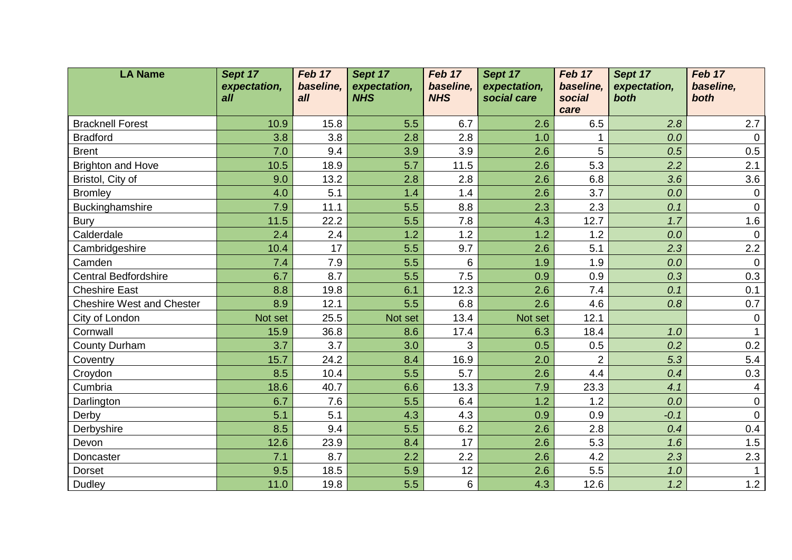| <b>LA Name</b>                   | Sept 17      | Feb 17    | Sept 17      | Feb 17          | Sept 17      | Feb 17         | Sept 17      | Feb 17         |
|----------------------------------|--------------|-----------|--------------|-----------------|--------------|----------------|--------------|----------------|
|                                  | expectation, | baseline, | expectation, | baseline,       | expectation, | baseline,      | expectation, | baseline,      |
|                                  | all          | all       | <b>NHS</b>   | <b>NHS</b>      | social care  | social<br>care | both         | both           |
| <b>Bracknell Forest</b>          | 10.9         | 15.8      | 5.5          | 6.7             | 2.6          | 6.5            | 2.8          | 2.7            |
| <b>Bradford</b>                  | 3.8          | 3.8       | 2.8          | 2.8             | 1.0          |                | 0.0          | $\overline{0}$ |
| <b>Brent</b>                     | 7.0          | 9.4       | 3.9          | 3.9             | 2.6          | 5              | 0.5          | 0.5            |
| <b>Brighton and Hove</b>         | 10.5         | 18.9      | 5.7          | 11.5            | 2.6          | 5.3            | 2.2          | 2.1            |
| Bristol, City of                 | 9.0          | 13.2      | 2.8          | 2.8             | 2.6          | 6.8            | 3.6          | 3.6            |
| <b>Bromley</b>                   | 4.0          | 5.1       | 1.4          | 1.4             | 2.6          | 3.7            | 0.0          | $\mathbf 0$    |
| Buckinghamshire                  | 7.9          | 11.1      | 5.5          | 8.8             | 2.3          | 2.3            | 0.1          | $\mathbf 0$    |
| <b>Bury</b>                      | 11.5         | 22.2      | 5.5          | 7.8             | 4.3          | 12.7           | 1.7          | 1.6            |
| Calderdale                       | 2.4          | 2.4       | 1.2          | 1.2             | 1.2          | 1.2            | 0.0          | $\overline{0}$ |
| Cambridgeshire                   | 10.4         | 17        | 5.5          | 9.7             | 2.6          | 5.1            | 2.3          | 2.2            |
| Camden                           | 7.4          | 7.9       | 5.5          | $6\phantom{1}6$ | 1.9          | 1.9            | 0.0          | $\overline{0}$ |
| <b>Central Bedfordshire</b>      | 6.7          | 8.7       | 5.5          | 7.5             | 0.9          | 0.9            | 0.3          | 0.3            |
| <b>Cheshire East</b>             | 8.8          | 19.8      | 6.1          | 12.3            | 2.6          | 7.4            | 0.1          | 0.1            |
| <b>Cheshire West and Chester</b> | 8.9          | 12.1      | 5.5          | 6.8             | 2.6          | 4.6            | 0.8          | 0.7            |
| City of London                   | Not set      | 25.5      | Not set      | 13.4            | Not set      | 12.1           |              | $\mathbf 0$    |
| Cornwall                         | 15.9         | 36.8      | 8.6          | 17.4            | 6.3          | 18.4           | 1.0          |                |
| County Durham                    | 3.7          | 3.7       | 3.0          | 3               | 0.5          | 0.5            | 0.2          | 0.2            |
| Coventry                         | 15.7         | 24.2      | 8.4          | 16.9            | 2.0          | $\overline{2}$ | 5.3          | 5.4            |
| Croydon                          | 8.5          | 10.4      | 5.5          | 5.7             | 2.6          | 4.4            | 0.4          | 0.3            |
| Cumbria                          | 18.6         | 40.7      | 6.6          | 13.3            | 7.9          | 23.3           | 4.1          | 4              |
| Darlington                       | 6.7          | 7.6       | 5.5          | 6.4             | 1.2          | 1.2            | 0.0          | $\mathbf 0$    |
| Derby                            | 5.1          | 5.1       | 4.3          | 4.3             | 0.9          | 0.9            | $-0.1$       | $\mathbf 0$    |
| Derbyshire                       | 8.5          | 9.4       | 5.5          | 6.2             | 2.6          | 2.8            | 0.4          | 0.4            |
| Devon                            | 12.6         | 23.9      | 8.4          | 17              | 2.6          | 5.3            | 1.6          | 1.5            |
| Doncaster                        | 7.1          | 8.7       | 2.2          | 2.2             | 2.6          | 4.2            | 2.3          | 2.3            |
| <b>Dorset</b>                    | 9.5          | 18.5      | 5.9          | 12              | 2.6          | 5.5            | 1.0          |                |
| <b>Dudley</b>                    | 11.0         | 19.8      | 5.5          | 6               | 4.3          | 12.6           | 1.2          | 1.2            |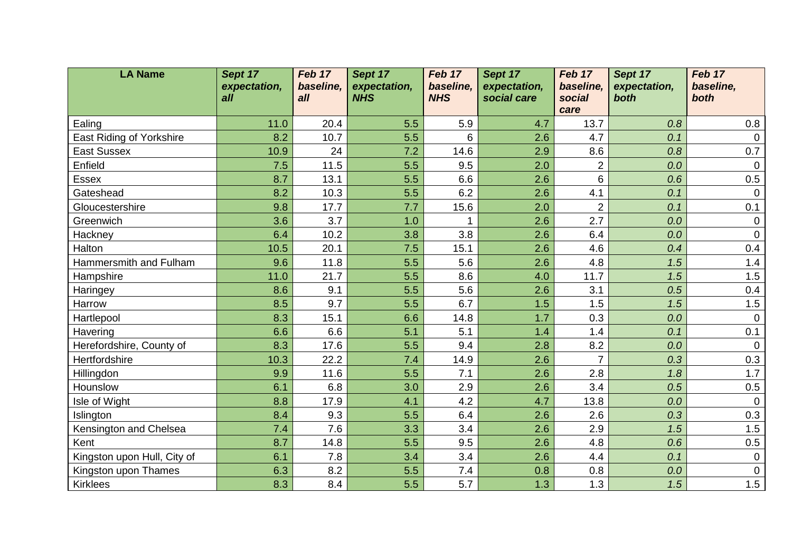| <b>LA Name</b>              | Sept 17      | Feb 17    | Sept 17      | Feb 17     | Sept 17      | Feb 17         | Sept 17      | Feb 17         |
|-----------------------------|--------------|-----------|--------------|------------|--------------|----------------|--------------|----------------|
|                             | expectation, | baseline, | expectation, | baseline,  | expectation, | baseline,      | expectation, | baseline,      |
|                             | all          | all       | <b>NHS</b>   | <b>NHS</b> | social care  | social<br>care | both         | both           |
| Ealing                      | 11.0         | 20.4      | 5.5          | 5.9        | 4.7          | 13.7           | 0.8          | 0.8            |
| East Riding of Yorkshire    | 8.2          | 10.7      | 5.5          | 6          | 2.6          | 4.7            | 0.1          | $\overline{0}$ |
| <b>East Sussex</b>          | 10.9         | 24        | 7.2          | 14.6       | 2.9          | 8.6            | 0.8          | 0.7            |
| Enfield                     | 7.5          | 11.5      | 5.5          | 9.5        | 2.0          | $\overline{2}$ | 0.0          | $\overline{0}$ |
| <b>Essex</b>                | 8.7          | 13.1      | 5.5          | 6.6        | 2.6          | 6              | 0.6          | 0.5            |
| Gateshead                   | 8.2          | 10.3      | 5.5          | 6.2        | 2.6          | 4.1            | 0.1          | $\mathbf 0$    |
| Gloucestershire             | 9.8          | 17.7      | 7.7          | 15.6       | 2.0          | $\overline{2}$ | 0.1          | 0.1            |
| Greenwich                   | 3.6          | 3.7       | 1.0          |            | 2.6          | 2.7            | 0.0          | 0              |
| Hackney                     | 6.4          | 10.2      | 3.8          | 3.8        | 2.6          | 6.4            | 0.0          | $\mathbf 0$    |
| Halton                      | 10.5         | 20.1      | 7.5          | 15.1       | 2.6          | 4.6            | 0.4          | 0.4            |
| Hammersmith and Fulham      | 9.6          | 11.8      | 5.5          | 5.6        | 2.6          | 4.8            | 1.5          | 1.4            |
| Hampshire                   | 11.0         | 21.7      | 5.5          | 8.6        | 4.0          | 11.7           | 1.5          | 1.5            |
| Haringey                    | 8.6          | 9.1       | 5.5          | 5.6        | 2.6          | 3.1            | 0.5          | 0.4            |
| Harrow                      | 8.5          | 9.7       | 5.5          | 6.7        | 1.5          | 1.5            | 1.5          | 1.5            |
| Hartlepool                  | 8.3          | 15.1      | 6.6          | 14.8       | 1.7          | 0.3            | 0.0          | $\mathbf 0$    |
| Havering                    | 6.6          | 6.6       | 5.1          | 5.1        | 1.4          | 1.4            | 0.1          | 0.1            |
| Herefordshire, County of    | 8.3          | 17.6      | 5.5          | 9.4        | 2.8          | 8.2            | 0.0          | $\mathbf 0$    |
| Hertfordshire               | 10.3         | 22.2      | 7.4          | 14.9       | 2.6          | $\overline{7}$ | 0.3          | 0.3            |
| Hillingdon                  | 9.9          | 11.6      | 5.5          | 7.1        | 2.6          | 2.8            | 1.8          | 1.7            |
| Hounslow                    | 6.1          | 6.8       | 3.0          | 2.9        | 2.6          | 3.4            | 0.5          | 0.5            |
| Isle of Wight               | 8.8          | 17.9      | 4.1          | 4.2        | 4.7          | 13.8           | 0.0          | $\mathbf 0$    |
| Islington                   | 8.4          | 9.3       | 5.5          | 6.4        | 2.6          | 2.6            | 0.3          | 0.3            |
| Kensington and Chelsea      | 7.4          | 7.6       | 3.3          | 3.4        | 2.6          | 2.9            | 1.5          | 1.5            |
| Kent                        | 8.7          | 14.8      | 5.5          | 9.5        | 2.6          | 4.8            | 0.6          | 0.5            |
| Kingston upon Hull, City of | 6.1          | 7.8       | 3.4          | 3.4        | 2.6          | 4.4            | 0.1          | $\mathbf 0$    |
| Kingston upon Thames        | 6.3          | 8.2       | 5.5          | 7.4        | 0.8          | 0.8            | 0.0          | $\mathbf 0$    |
| <b>Kirklees</b>             | 8.3          | 8.4       | 5.5          | 5.7        | 1.3          | 1.3            | 1.5          | 1.5            |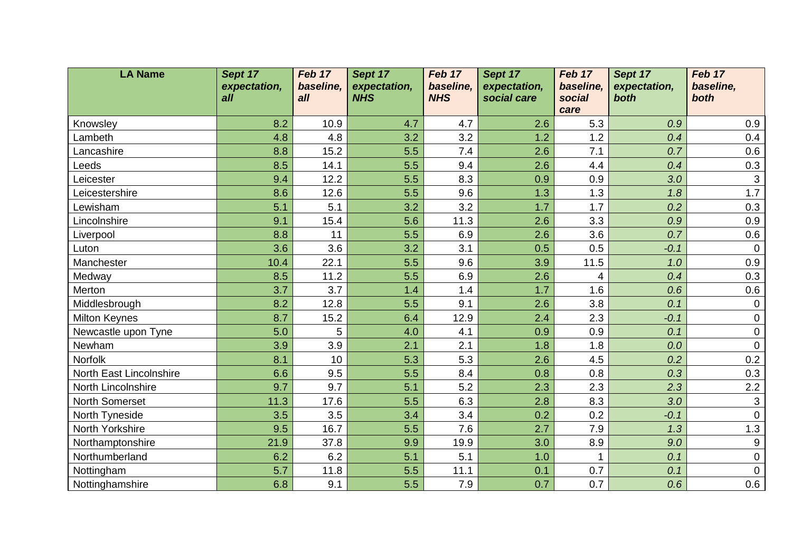| <b>LA Name</b>             | Sept 17      | Feb 17      | Sept 17      | Feb 17     | Sept 17      | Feb 17         | Sept 17      | Feb 17           |
|----------------------------|--------------|-------------|--------------|------------|--------------|----------------|--------------|------------------|
|                            | expectation, | baseline,   | expectation, | baseline,  | expectation, | baseline,      | expectation, | baseline,        |
|                            | all          | all         | <b>NHS</b>   | <b>NHS</b> | social care  | social<br>care | both         | both             |
|                            | 8.2          |             |              |            |              |                |              |                  |
| Knowsley<br>Lambeth        | 4.8          | 10.9<br>4.8 | 4.7<br>3.2   | 4.7<br>3.2 | 2.6<br>1.2   | 5.3<br>1.2     | 0.9<br>0.4   | 0.9<br>0.4       |
| Lancashire                 | 8.8          | 15.2        | 5.5          | 7.4        | 2.6          | 7.1            | 0.7          | 0.6              |
| Leeds                      | 8.5          | 14.1        | 5.5          | 9.4        | 2.6          | 4.4            | 0.4          | 0.3              |
| Leicester                  | 9.4          | 12.2        | 5.5          | 8.3        | 0.9          | 0.9            | 3.0          | $\mathbf{3}$     |
|                            | 8.6          |             | 5.5          | 9.6        | 1.3          |                |              | 1.7              |
| Leicestershire<br>Lewisham |              | 12.6<br>5.1 |              | 3.2        | 1.7          | 1.3<br>1.7     | 1.8<br>0.2   | 0.3              |
|                            | 5.1          |             | 3.2          |            |              |                |              |                  |
| Lincolnshire               | 9.1          | 15.4        | 5.6          | 11.3       | 2.6          | 3.3            | 0.9          | 0.9              |
| Liverpool                  | 8.8          | 11          | 5.5          | 6.9        | 2.6          | 3.6            | 0.7          | 0.6              |
| Luton                      | 3.6          | 3.6         | 3.2          | 3.1        | 0.5          | 0.5            | $-0.1$       | $\mathbf 0$      |
| Manchester                 | 10.4         | 22.1        | 5.5          | 9.6        | 3.9          | 11.5           | 1.0          | 0.9              |
| Medway                     | 8.5          | 11.2        | 5.5          | 6.9        | 2.6          | 4              | 0.4          | 0.3              |
| Merton                     | 3.7          | 3.7         | 1.4          | 1.4        | 1.7          | 1.6            | 0.6          | 0.6              |
| Middlesbrough              | 8.2          | 12.8        | 5.5          | 9.1        | 2.6          | 3.8            | 0.1          | $\mathbf 0$      |
| <b>Milton Keynes</b>       | 8.7          | 15.2        | 6.4          | 12.9       | 2.4          | 2.3            | $-0.1$       | $\mathbf 0$      |
| Newcastle upon Tyne        | 5.0          | 5           | 4.0          | 4.1        | 0.9          | 0.9            | 0.1          | $\mathbf 0$      |
| Newham                     | 3.9          | 3.9         | 2.1          | 2.1        | 1.8          | 1.8            | 0.0          | $\overline{0}$   |
| Norfolk                    | 8.1          | 10          | 5.3          | 5.3        | 2.6          | 4.5            | 0.2          | 0.2              |
| North East Lincolnshire    | 6.6          | 9.5         | 5.5          | 8.4        | 0.8          | 0.8            | 0.3          | 0.3              |
| North Lincolnshire         | 9.7          | 9.7         | 5.1          | 5.2        | 2.3          | 2.3            | 2.3          | 2.2              |
| North Somerset             | 11.3         | 17.6        | 5.5          | 6.3        | 2.8          | 8.3            | 3.0          | $\mathbf{3}$     |
| North Tyneside             | 3.5          | 3.5         | 3.4          | 3.4        | 0.2          | 0.2            | $-0.1$       | $\mathbf 0$      |
| North Yorkshire            | 9.5          | 16.7        | 5.5          | 7.6        | 2.7          | 7.9            | 1.3          | 1.3              |
| Northamptonshire           | 21.9         | 37.8        | 9.9          | 19.9       | 3.0          | 8.9            | 9.0          | $\boldsymbol{9}$ |
| Northumberland             | 6.2          | 6.2         | 5.1          | 5.1        | 1.0          |                | 0.1          | $\mathbf 0$      |
| Nottingham                 | 5.7          | 11.8        | 5.5          | 11.1       | 0.1          | 0.7            | 0.1          | $\mathbf 0$      |
| Nottinghamshire            | 6.8          | 9.1         | 5.5          | 7.9        | 0.7          | 0.7            | 0.6          | 0.6              |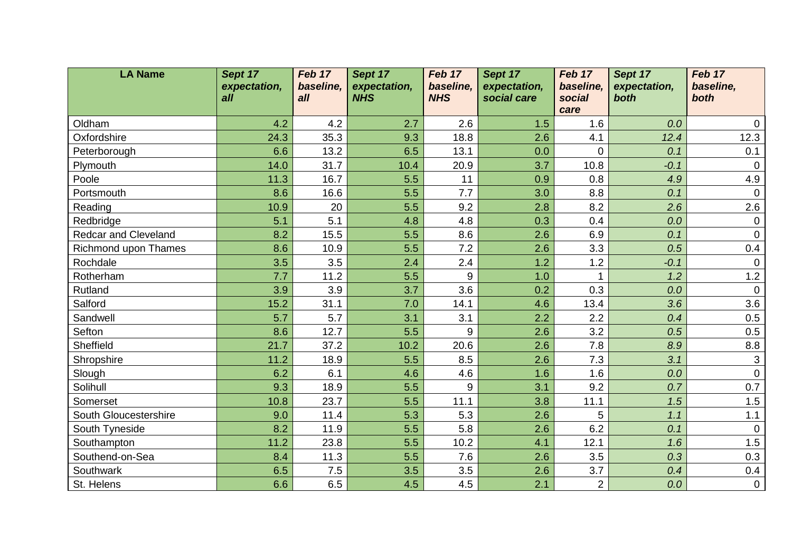| <b>LA Name</b>              | Sept 17      | Feb 17    | Sept 17      | Feb 17           | Sept 17      | Feb 17         | Sept 17      | Feb 17         |
|-----------------------------|--------------|-----------|--------------|------------------|--------------|----------------|--------------|----------------|
|                             | expectation, | baseline, | expectation, | baseline,        | expectation, | baseline,      | expectation, | baseline,      |
|                             | all          | all       | <b>NHS</b>   | <b>NHS</b>       | social care  | social<br>care | both         | both           |
| Oldham                      | 4.2          | 4.2       | 2.7          | 2.6              | 1.5          | 1.6            | 0.0          | $\mathbf 0$    |
| Oxfordshire                 | 24.3         | 35.3      | 9.3          | 18.8             | 2.6          | 4.1            | 12.4         | 12.3           |
| Peterborough                | 6.6          | 13.2      | 6.5          | 13.1             | 0.0          | $\overline{0}$ | 0.1          | 0.1            |
| Plymouth                    | 14.0         | 31.7      | 10.4         | 20.9             | 3.7          | 10.8           | $-0.1$       | $\overline{0}$ |
| Poole                       | 11.3         | 16.7      | 5.5          | 11               | 0.9          | 0.8            | 4.9          | 4.9            |
| Portsmouth                  | 8.6          | 16.6      | 5.5          | 7.7              | 3.0          | 8.8            | 0.1          | $\mathbf 0$    |
| Reading                     | 10.9         | 20        | 5.5          | 9.2              | 2.8          | 8.2            | 2.6          | 2.6            |
|                             |              | 5.1       |              |                  | 0.3          |                |              |                |
| Redbridge                   | 5.1          | 15.5      | 4.8          | 4.8              |              | 0.4            | 0.0          | $\mathbf 0$    |
| <b>Redcar and Cleveland</b> | 8.2          |           | 5.5          | 8.6              | 2.6          | 6.9            | 0.1          | $\mathbf 0$    |
| Richmond upon Thames        | 8.6          | 10.9      | 5.5          | 7.2              | 2.6          | 3.3            | 0.5          | 0.4            |
| Rochdale                    | 3.5          | 3.5       | 2.4          | 2.4              | 1.2          | 1.2            | $-0.1$       | $\overline{0}$ |
| Rotherham                   | 7.7          | 11.2      | 5.5          | $\boldsymbol{9}$ | 1.0          |                | 1.2          | $1.2$          |
| Rutland                     | 3.9          | 3.9       | 3.7          | 3.6              | 0.2          | 0.3            | 0.0          | $\overline{0}$ |
| Salford                     | 15.2         | 31.1      | 7.0          | 14.1             | 4.6          | 13.4           | 3.6          | 3.6            |
| Sandwell                    | 5.7          | 5.7       | 3.1          | 3.1              | 2.2          | 2.2            | 0.4          | 0.5            |
| Sefton                      | 8.6          | 12.7      | 5.5          | 9                | 2.6          | 3.2            | 0.5          | 0.5            |
| Sheffield                   | 21.7         | 37.2      | 10.2         | 20.6             | 2.6          | 7.8            | 8.9          | 8.8            |
| Shropshire                  | 11.2         | 18.9      | 5.5          | 8.5              | 2.6          | 7.3            | 3.1          | $\mathbf{3}$   |
| Slough                      | 6.2          | 6.1       | 4.6          | 4.6              | 1.6          | 1.6            | 0.0          | $\mathbf 0$    |
| Solihull                    | 9.3          | 18.9      | 5.5          | 9                | 3.1          | 9.2            | 0.7          | 0.7            |
| Somerset                    | 10.8         | 23.7      | 5.5          | 11.1             | 3.8          | 11.1           | 1.5          | 1.5            |
| South Gloucestershire       | 9.0          | 11.4      | 5.3          | 5.3              | 2.6          | 5              | 1.1          | 1.1            |
| South Tyneside              | 8.2          | 11.9      | 5.5          | 5.8              | 2.6          | 6.2            | 0.1          | $\overline{0}$ |
| Southampton                 | 11.2         | 23.8      | 5.5          | 10.2             | 4.1          | 12.1           | 1.6          | 1.5            |
| Southend-on-Sea             | 8.4          | 11.3      | 5.5          | 7.6              | 2.6          | 3.5            | 0.3          | 0.3            |
| Southwark                   | 6.5          | 7.5       | 3.5          | 3.5              | 2.6          | 3.7            | 0.4          | 0.4            |
| St. Helens                  | 6.6          | 6.5       | 4.5          | 4.5              | 2.1          | $\overline{2}$ | 0.0          | $\overline{0}$ |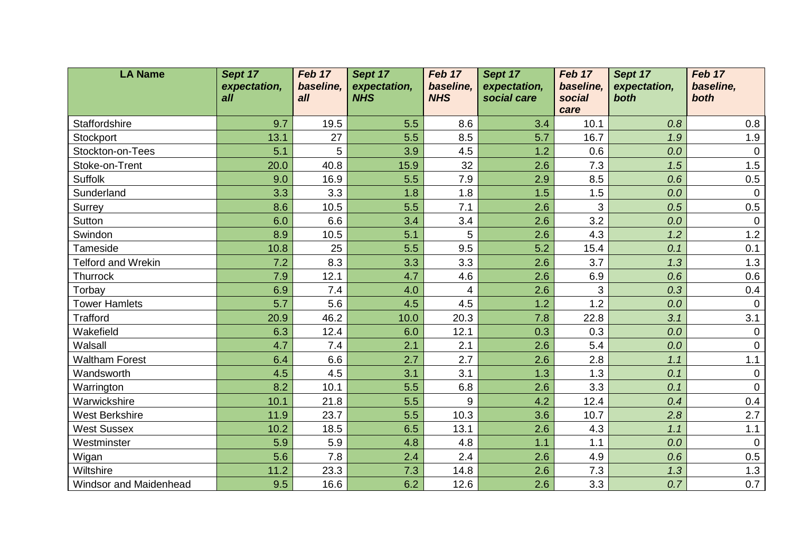| <b>LA Name</b>                | Sept 17      | Feb 17    | Sept 17      | Feb 17     | Sept 17      | Feb 17         | Sept 17      | Feb 17         |
|-------------------------------|--------------|-----------|--------------|------------|--------------|----------------|--------------|----------------|
|                               | expectation, | baseline, | expectation, | baseline,  | expectation, | baseline,      | expectation, | baseline,      |
|                               | all          | all       | <b>NHS</b>   | <b>NHS</b> | social care  | social<br>care | both         | both           |
| Staffordshire                 | 9.7          | 19.5      | 5.5          | 8.6        | 3.4          | 10.1           | 0.8          | 0.8            |
| Stockport                     | 13.1         | 27        | 5.5          | 8.5        | 5.7          | 16.7           | 1.9          | 1.9            |
| Stockton-on-Tees              | 5.1          | 5         | 3.9          | 4.5        | 1.2          | 0.6            | 0.0          | $\overline{0}$ |
| Stoke-on-Trent                | 20.0         | 40.8      | 15.9         | 32         | 2.6          | 7.3            | 1.5          | 1.5            |
| <b>Suffolk</b>                | 9.0          | 16.9      | 5.5          | 7.9        | 2.9          | 8.5            | 0.6          | 0.5            |
| Sunderland                    | 3.3          | 3.3       | 1.8          | 1.8        | 1.5          | 1.5            | 0.0          | $\mathbf 0$    |
| Surrey                        | 8.6          | 10.5      | 5.5          | 7.1        | 2.6          | 3              | 0.5          | $0.5\,$        |
| Sutton                        | 6.0          | 6.6       | 3.4          | 3.4        | 2.6          | 3.2            | 0.0          | $\mathbf 0$    |
| Swindon                       | 8.9          | 10.5      | 5.1          | 5          | 2.6          | 4.3            | 1.2          | 1.2            |
| Tameside                      | 10.8         | 25        | 5.5          | 9.5        | 5.2          | 15.4           | 0.1          | 0.1            |
| <b>Telford and Wrekin</b>     | 7.2          | 8.3       | 3.3          | 3.3        | 2.6          | 3.7            | 1.3          | 1.3            |
| Thurrock                      | 7.9          | 12.1      | 4.7          | 4.6        | 2.6          | 6.9            | 0.6          | 0.6            |
| Torbay                        | 6.9          | 7.4       | 4.0          | 4          | 2.6          | 3              | 0.3          | 0.4            |
| <b>Tower Hamlets</b>          | 5.7          | 5.6       | 4.5          | 4.5        | 1.2          | 1.2            | 0.0          | $\overline{0}$ |
| <b>Trafford</b>               | 20.9         | 46.2      | 10.0         | 20.3       | 7.8          | 22.8           | 3.1          | 3.1            |
| Wakefield                     | 6.3          | 12.4      | 6.0          | 12.1       | 0.3          | 0.3            | 0.0          | $\mathbf 0$    |
| Walsall                       | 4.7          | 7.4       | 2.1          | 2.1        | 2.6          | 5.4            | 0.0          | $\overline{0}$ |
| <b>Waltham Forest</b>         | 6.4          | 6.6       | 2.7          | 2.7        | 2.6          | 2.8            | 1.1          | 1.1            |
| Wandsworth                    | 4.5          | 4.5       | 3.1          | 3.1        | 1.3          | 1.3            | 0.1          | $\mathbf 0$    |
| Warrington                    | 8.2          | 10.1      | 5.5          | 6.8        | 2.6          | 3.3            | 0.1          | $\mathbf 0$    |
| Warwickshire                  | 10.1         | 21.8      | 5.5          | 9          | 4.2          | 12.4           | 0.4          | 0.4            |
| <b>West Berkshire</b>         | 11.9         | 23.7      | 5.5          | 10.3       | 3.6          | 10.7           | 2.8          | 2.7            |
| <b>West Sussex</b>            | 10.2         | 18.5      | 6.5          | 13.1       | 2.6          | 4.3            | 1.1          | 1.1            |
| Westminster                   | 5.9          | 5.9       | 4.8          | 4.8        | 1.1          | 1.1            | 0.0          | $\overline{0}$ |
| Wigan                         | 5.6          | 7.8       | 2.4          | 2.4        | 2.6          | 4.9            | 0.6          | 0.5            |
| Wiltshire                     | 11.2         | 23.3      | 7.3          | 14.8       | 2.6          | 7.3            | 1.3          | 1.3            |
| <b>Windsor and Maidenhead</b> | 9.5          | 16.6      | 6.2          | 12.6       | 2.6          | 3.3            | 0.7          | 0.7            |